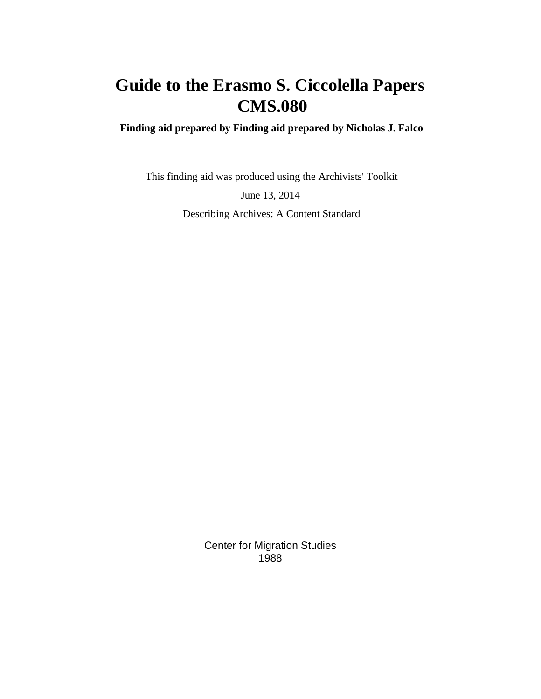# **Guide to the Erasmo S. Ciccolella Papers CMS.080**

 **Finding aid prepared by Finding aid prepared by Nicholas J. Falco**

 This finding aid was produced using the Archivists' Toolkit June 13, 2014 Describing Archives: A Content Standard

> Center for Migration Studies 1988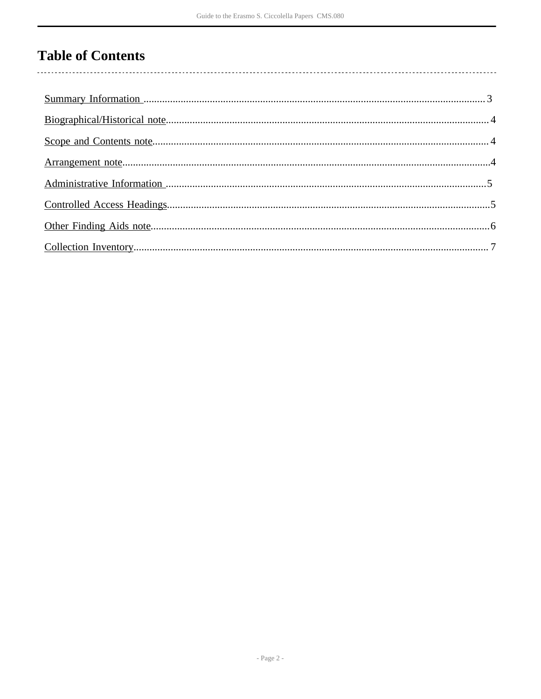# **Table of Contents**

 $\overline{\phantom{a}}$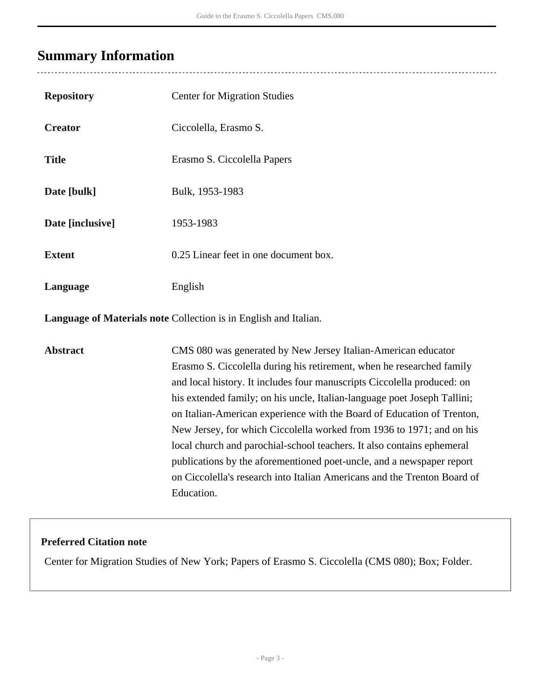## <span id="page-2-0"></span>**Summary Information**

 $\ddot{\phantom{a}}$ 

<u>. . . . . . . .</u>

| <b>Repository</b> | <b>Center for Migration Studies</b>                                                                                                                                                                                                                                                                                                                                                                                                                                                                                                                                                                                                                                                           |
|-------------------|-----------------------------------------------------------------------------------------------------------------------------------------------------------------------------------------------------------------------------------------------------------------------------------------------------------------------------------------------------------------------------------------------------------------------------------------------------------------------------------------------------------------------------------------------------------------------------------------------------------------------------------------------------------------------------------------------|
| <b>Creator</b>    | Ciccolella, Erasmo S.                                                                                                                                                                                                                                                                                                                                                                                                                                                                                                                                                                                                                                                                         |
| <b>Title</b>      | Erasmo S. Ciccolella Papers                                                                                                                                                                                                                                                                                                                                                                                                                                                                                                                                                                                                                                                                   |
| Date [bulk]       | Bulk, 1953-1983                                                                                                                                                                                                                                                                                                                                                                                                                                                                                                                                                                                                                                                                               |
| Date [inclusive]  | 1953-1983                                                                                                                                                                                                                                                                                                                                                                                                                                                                                                                                                                                                                                                                                     |
| <b>Extent</b>     | 0.25 Linear feet in one document box.                                                                                                                                                                                                                                                                                                                                                                                                                                                                                                                                                                                                                                                         |
| Language          | English                                                                                                                                                                                                                                                                                                                                                                                                                                                                                                                                                                                                                                                                                       |
|                   | Language of Materials note Collection is in English and Italian.                                                                                                                                                                                                                                                                                                                                                                                                                                                                                                                                                                                                                              |
| <b>Abstract</b>   | CMS 080 was generated by New Jersey Italian-American educator<br>Erasmo S. Ciccolella during his retirement, when he researched family<br>and local history. It includes four manuscripts Ciccolella produced: on<br>his extended family; on his uncle, Italian-language poet Joseph Tallini;<br>on Italian-American experience with the Board of Education of Trenton,<br>New Jersey, for which Ciccolella worked from 1936 to 1971; and on his<br>local church and parochial-school teachers. It also contains ephemeral<br>publications by the aforementioned poet-uncle, and a newspaper report<br>on Ciccolella's research into Italian Americans and the Trenton Board of<br>Education. |

### **Preferred Citation note**

Center for Migration Studies of New York; Papers of Erasmo S. Ciccolella (CMS 080); Box; Folder.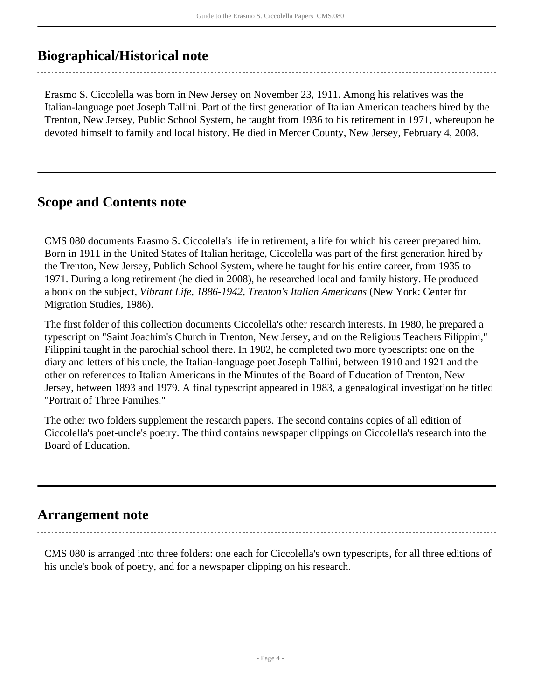### <span id="page-3-0"></span>**Biographical/Historical note**

Erasmo S. Ciccolella was born in New Jersey on November 23, 1911. Among his relatives was the Italian-language poet Joseph Tallini. Part of the first generation of Italian American teachers hired by the Trenton, New Jersey, Public School System, he taught from 1936 to his retirement in 1971, whereupon he devoted himself to family and local history. He died in Mercer County, New Jersey, February 4, 2008.

### <span id="page-3-1"></span>**Scope and Contents note**

CMS 080 documents Erasmo S. Ciccolella's life in retirement, a life for which his career prepared him. Born in 1911 in the United States of Italian heritage, Ciccolella was part of the first generation hired by the Trenton, New Jersey, Publich School System, where he taught for his entire career, from 1935 to 1971. During a long retirement (he died in 2008), he researched local and family history. He produced a book on the subject, *Vibrant Life, 1886-1942, Trenton's Italian Americans* (New York: Center for Migration Studies, 1986).

The first folder of this collection documents Ciccolella's other research interests. In 1980, he prepared a typescript on "Saint Joachim's Church in Trenton, New Jersey, and on the Religious Teachers Filippini," Filippini taught in the parochial school there. In 1982, he completed two more typescripts: one on the diary and letters of his uncle, the Italian-language poet Joseph Tallini, between 1910 and 1921 and the other on references to Italian Americans in the Minutes of the Board of Education of Trenton, New Jersey, between 1893 and 1979. A final typescript appeared in 1983, a genealogical investigation he titled "Portrait of Three Families."

The other two folders supplement the research papers. The second contains copies of all edition of Ciccolella's poet-uncle's poetry. The third contains newspaper clippings on Ciccolella's research into the Board of Education.

### <span id="page-3-2"></span>**Arrangement note**

CMS 080 is arranged into three folders: one each for Ciccolella's own typescripts, for all three editions of his uncle's book of poetry, and for a newspaper clipping on his research.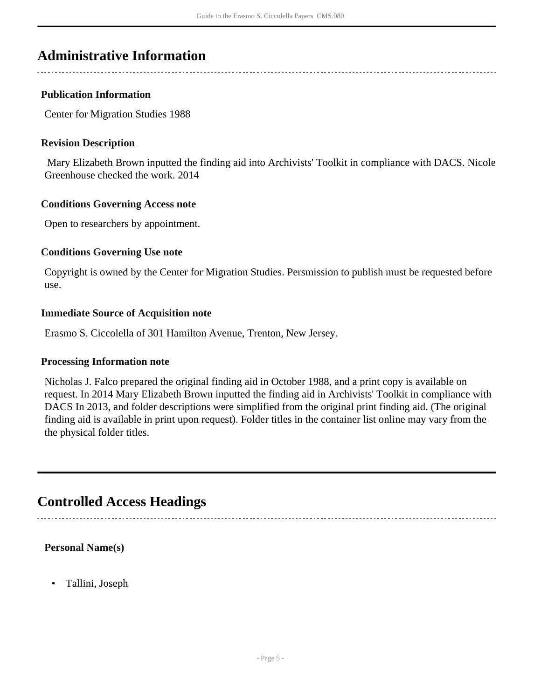### <span id="page-4-0"></span>**Administrative Information**

#### **Publication Information**

Center for Migration Studies 1988

#### **Revision Description**

 Mary Elizabeth Brown inputted the finding aid into Archivists' Toolkit in compliance with DACS. Nicole Greenhouse checked the work. 2014

#### **Conditions Governing Access note**

Open to researchers by appointment.

#### **Conditions Governing Use note**

Copyright is owned by the Center for Migration Studies. Persmission to publish must be requested before use.

#### **Immediate Source of Acquisition note**

Erasmo S. Ciccolella of 301 Hamilton Avenue, Trenton, New Jersey.

#### **Processing Information note**

Nicholas J. Falco prepared the original finding aid in October 1988, and a print copy is available on request. In 2014 Mary Elizabeth Brown inputted the finding aid in Archivists' Toolkit in compliance with DACS In 2013, and folder descriptions were simplified from the original print finding aid. (The original finding aid is available in print upon request). Folder titles in the container list online may vary from the the physical folder titles.

### <span id="page-4-1"></span>**Controlled Access Headings**

#### **Personal Name(s)**

• Tallini, Joseph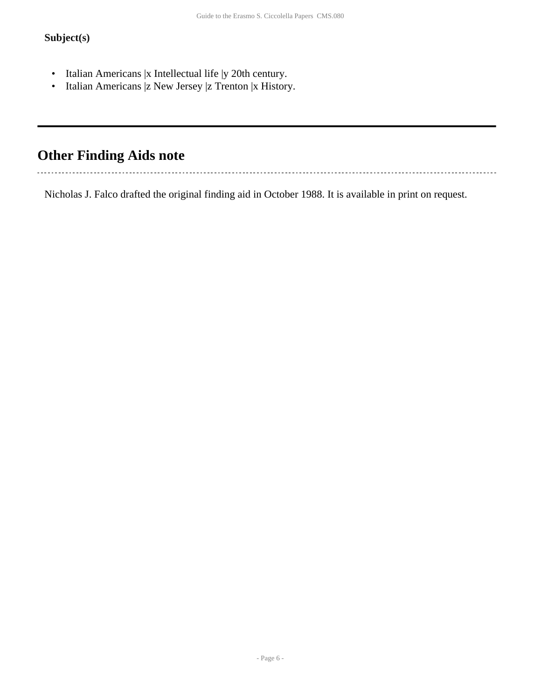### **Subject(s)**

- Italian Americans |x Intellectual life |y 20th century.
- Italian Americans |z New Jersey |z Trenton |x History.

### <span id="page-5-0"></span>**Other Finding Aids note**

. . . . . . . . . . . . . . . . . 

Nicholas J. Falco drafted the original finding aid in October 1988. It is available in print on request.